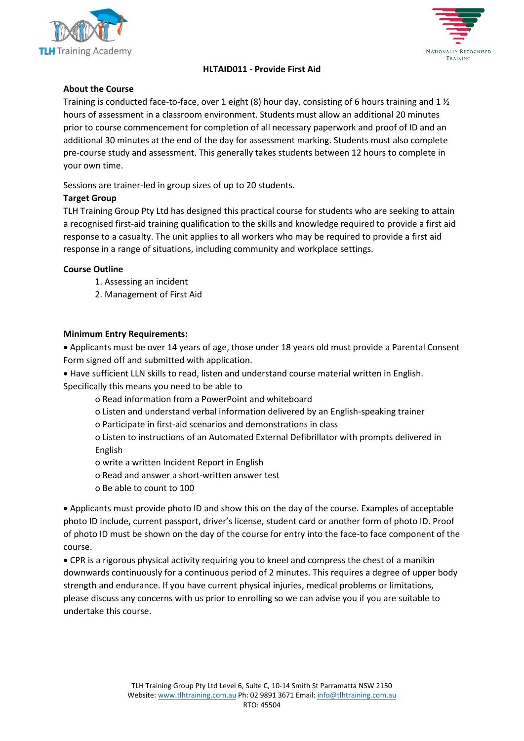



# **HLTAID011 - Provide First Aid**

### **About the Course**

Training is conducted face-to-face, over 1 eight (8) hour day, consisting of 6 hours training and 1  $\frac{1}{2}$ hours of assessment in a classroom environment. Students must allow an additional 20 minutes prior to course commencement for completion of all necessary paperwork and proof of ID and an additional 30 minutes at the end of the day for assessment marking. Students must also complete pre-course study and assessment. This generally takes students between 12 hours to complete in your own time.

Sessions are trainer-led in group sizes of up to 20 students.

## **Target Group**

TLH Training Group Pty Ltd has designed this practical course for students who are seeking to attain a recognised first-aid training qualification to the skills and knowledge required to provide a first aid response to a casualty. The unit applies to all workers who may be required to provide a first aid response in a range of situations, including community and workplace settings.

### **Course Outline**

- 1. Assessing an incident
- 2. Management of First Aid

## **Minimum Entry Requirements:**

• Applicants must be over 14 years of age, those under 18 years old must provide a Parental Consent Form signed off and submitted with application.

• Have sufficient LLN skills to read, listen and understand course material written in English. Specifically this means you need to be able to

o Read information from a PowerPoint and whiteboard

- o Listen and understand verbal information delivered by an English-speaking trainer
- o Participate in first-aid scenarios and demonstrations in class

o Listen to instructions of an Automated External Defibrillator with prompts delivered in English

- o write a written Incident Report in English
- o Read and answer a short-written answer test
- o Be able to count to 100

• Applicants must provide photo ID and show this on the day of the course. Examples of acceptable photo ID include, current passport, driver's license, student card or another form of photo ID. Proof of photo ID must be shown on the day of the course for entry into the face-to face component of the course.

• CPR is a rigorous physical activity requiring you to kneel and compress the chest of a manikin downwards continuously for a continuous period of 2 minutes. This requires a degree of upper body strength and endurance. If you have current physical injuries, medical problems or limitations, please discuss any concerns with us prior to enrolling so we can advise you if you are suitable to undertake this course.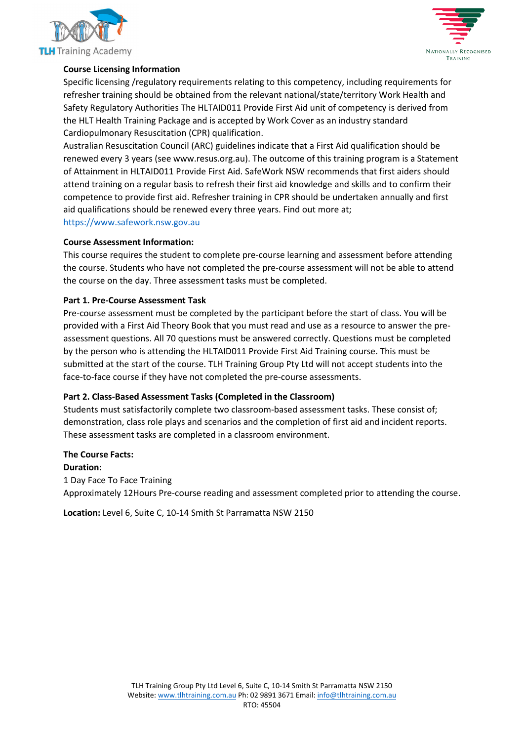



# **Course Licensing Information**

Specific licensing /regulatory requirements relating to this competency, including requirements for refresher training should be obtained from the relevant national/state/territory Work Health and Safety Regulatory Authorities The HLTAID011 Provide First Aid unit of competency is derived from the HLT Health Training Package and is accepted by Work Cover as an industry standard Cardiopulmonary Resuscitation (CPR) qualification.

Australian Resuscitation Council (ARC) guidelines indicate that a First Aid qualification should be renewed every 3 years (see www.resus.org.au). The outcome of this training program is a Statement of Attainment in HLTAID011 Provide First Aid. SafeWork NSW recommends that first aiders should attend training on a regular basis to refresh their first aid knowledge and skills and to confirm their competence to provide first aid. Refresher training in CPR should be undertaken annually and first aid qualifications should be renewed every three years. Find out more at;

### [https://www.safework.nsw.gov.au](https://www.safework.nsw.gov.au/)

### **Course Assessment Information:**

This course requires the student to complete pre-course learning and assessment before attending the course. Students who have not completed the pre-course assessment will not be able to attend the course on the day. Three assessment tasks must be completed.

## **Part 1. Pre-Course Assessment Task**

Pre-course assessment must be completed by the participant before the start of class. You will be provided with a First Aid Theory Book that you must read and use as a resource to answer the preassessment questions. All 70 questions must be answered correctly. Questions must be completed by the person who is attending the HLTAID011 Provide First Aid Training course. This must be submitted at the start of the course. TLH Training Group Pty Ltd will not accept students into the face-to-face course if they have not completed the pre-course assessments.

# **Part 2. Class-Based Assessment Tasks (Completed in the Classroom)**

Students must satisfactorily complete two classroom-based assessment tasks. These consist of; demonstration, class role plays and scenarios and the completion of first aid and incident reports. These assessment tasks are completed in a classroom environment.

# **The Course Facts:**

# **Duration:**

1 Day Face To Face Training Approximately 12Hours Pre-course reading and assessment completed prior to attending the course.

**Location:** Level 6, Suite C, 10-14 Smith St Parramatta NSW 2150